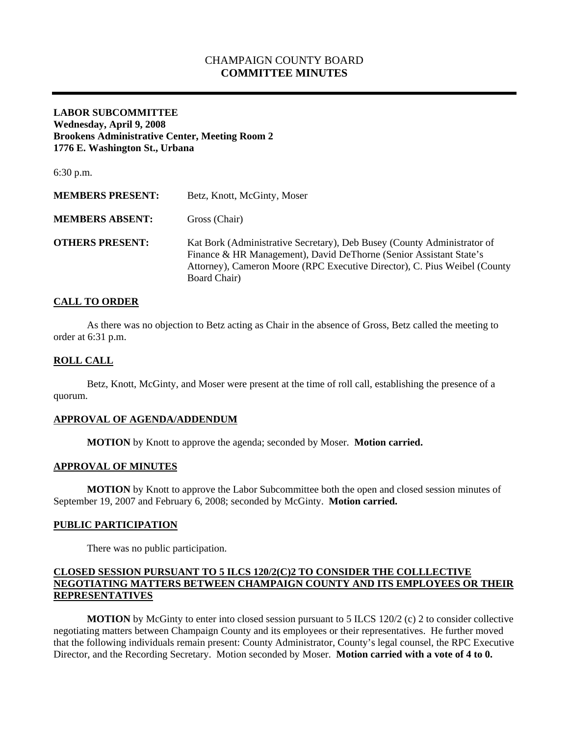# CHAMPAIGN COUNTY BOARD **COMMITTEE MINUTES**

## **LABOR SUBCOMMITTEE Wednesday, April 9, 2008 Brookens Administrative Center, Meeting Room 2 1776 E. Washington St., Urbana**

6:30 p.m.

| <b>MEMBERS PRESENT:</b> | Betz, Knott, McGinty, Moser                                                                                                                                                                                                                 |
|-------------------------|---------------------------------------------------------------------------------------------------------------------------------------------------------------------------------------------------------------------------------------------|
| <b>MEMBERS ABSENT:</b>  | Gross (Chair)                                                                                                                                                                                                                               |
| <b>OTHERS PRESENT:</b>  | Kat Bork (Administrative Secretary), Deb Busey (County Administrator of<br>Finance & HR Management), David DeThorne (Senior Assistant State's<br>Attorney), Cameron Moore (RPC Executive Director), C. Pius Weibel (County)<br>Board Chair) |

## **CALL TO ORDER**

 As there was no objection to Betz acting as Chair in the absence of Gross, Betz called the meeting to order at 6:31 p.m.

## **ROLL CALL**

 Betz, Knott, McGinty, and Moser were present at the time of roll call, establishing the presence of a quorum.

### **APPROVAL OF AGENDA/ADDENDUM**

 **MOTION** by Knott to approve the agenda; seconded by Moser. **Motion carried.** 

#### **APPROVAL OF MINUTES**

 **MOTION** by Knott to approve the Labor Subcommittee both the open and closed session minutes of September 19, 2007 and February 6, 2008; seconded by McGinty. **Motion carried.** 

#### **PUBLIC PARTICIPATION**

There was no public participation.

## **CLOSED SESSION PURSUANT TO 5 ILCS 120/2(C)2 TO CONSIDER THE COLLLECTIVE NEGOTIATING MATTERS BETWEEN CHAMPAIGN COUNTY AND ITS EMPLOYEES OR THEIR REPRESENTATIVES**

**MOTION** by McGinty to enter into closed session pursuant to 5 ILCS 120/2 (c) 2 to consider collective negotiating matters between Champaign County and its employees or their representatives. He further moved that the following individuals remain present: County Administrator, County's legal counsel, the RPC Executive Director, and the Recording Secretary. Motion seconded by Moser. **Motion carried with a vote of 4 to 0.**